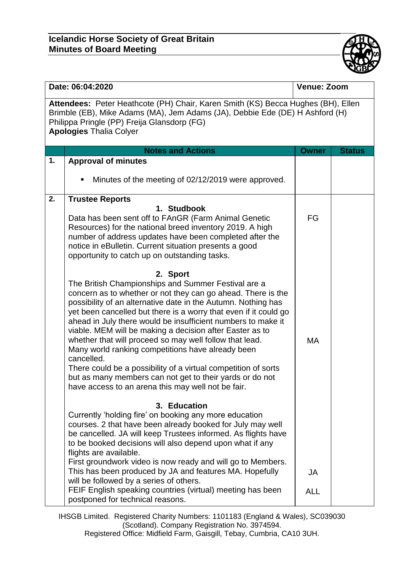## **Icelandic Horse Society of Great Britain Minutes of Board Meeting**



| Date: 06:04:2020                                                                                                                                                                                                                                  |                                                                                                                                                                                                                                                                                                                                                                                                                                                                                                                                                                                 | <b>Venue: Zoom</b> |               |  |  |
|---------------------------------------------------------------------------------------------------------------------------------------------------------------------------------------------------------------------------------------------------|---------------------------------------------------------------------------------------------------------------------------------------------------------------------------------------------------------------------------------------------------------------------------------------------------------------------------------------------------------------------------------------------------------------------------------------------------------------------------------------------------------------------------------------------------------------------------------|--------------------|---------------|--|--|
| Attendees: Peter Heathcote (PH) Chair, Karen Smith (KS) Becca Hughes (BH), Ellen<br>Brimble (EB), Mike Adams (MA), Jem Adams (JA), Debbie Ede (DE) H Ashford (H)<br>Philippa Pringle (PP) Freija Glansdorp (FG)<br><b>Apologies Thalia Colyer</b> |                                                                                                                                                                                                                                                                                                                                                                                                                                                                                                                                                                                 |                    |               |  |  |
|                                                                                                                                                                                                                                                   | <b>Notes and Actions</b>                                                                                                                                                                                                                                                                                                                                                                                                                                                                                                                                                        | <b>Owner</b>       | <b>Status</b> |  |  |
| 1.                                                                                                                                                                                                                                                | <b>Approval of minutes</b>                                                                                                                                                                                                                                                                                                                                                                                                                                                                                                                                                      |                    |               |  |  |
|                                                                                                                                                                                                                                                   | Minutes of the meeting of 02/12/2019 were approved.<br>٠                                                                                                                                                                                                                                                                                                                                                                                                                                                                                                                        |                    |               |  |  |
| 2.                                                                                                                                                                                                                                                | <b>Trustee Reports</b><br>1. Studbook<br>Data has been sent off to FAnGR (Farm Animal Genetic<br>Resources) for the national breed inventory 2019. A high<br>number of address updates have been completed after the<br>notice in eBulletin. Current situation presents a good<br>opportunity to catch up on outstanding tasks.<br>2. Sport<br>The British Championships and Summer Festival are a<br>concern as to whether or not they can go ahead. There is the                                                                                                              | FG                 |               |  |  |
|                                                                                                                                                                                                                                                   | possibility of an alternative date in the Autumn. Nothing has<br>yet been cancelled but there is a worry that even if it could go<br>ahead in July there would be insufficient numbers to make it<br>viable. MEM will be making a decision after Easter as to<br>whether that will proceed so may well follow that lead.<br>Many world ranking competitions have already been<br>cancelled.<br>There could be a possibility of a virtual competition of sorts<br>but as many members can not get to their yards or do not<br>have access to an arena this may well not be fair. | МA                 |               |  |  |
|                                                                                                                                                                                                                                                   | 3. Education<br>Currently 'holding fire' on booking any more education<br>courses. 2 that have been already booked for July may well<br>be cancelled. JA will keep Trustees informed. As flights have<br>to be booked decisions will also depend upon what if any<br>flights are available.<br>First groundwork video is now ready and will go to Members.<br>This has been produced by JA and features MA. Hopefully<br>will be followed by a series of others.<br>FEIF English speaking countries (virtual) meeting has been<br>postponed for technical reasons.              | JA<br><b>ALL</b>   |               |  |  |

IHSGB Limited. Registered Charity Numbers: 1101183 (England & Wales), SC039030 (Scotland). Company Registration No. 3974594.

Registered Office: Midfield Farm, Gaisgill, Tebay, Cumbria, CA10 3UH.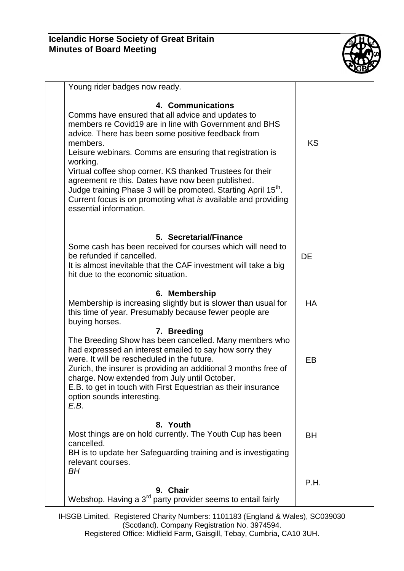

| Young rider badges now ready.                                                                                                                                                                                                                                                                                                                                                                                                                                                                                                                                          |           |  |
|------------------------------------------------------------------------------------------------------------------------------------------------------------------------------------------------------------------------------------------------------------------------------------------------------------------------------------------------------------------------------------------------------------------------------------------------------------------------------------------------------------------------------------------------------------------------|-----------|--|
| 4. Communications<br>Comms have ensured that all advice and updates to<br>members re Covid19 are in line with Government and BHS<br>advice. There has been some positive feedback from<br>members.<br>Leisure webinars. Comms are ensuring that registration is<br>working.<br>Virtual coffee shop corner. KS thanked Trustees for their<br>agreement re this. Dates have now been published.<br>Judge training Phase 3 will be promoted. Starting April 15 <sup>th</sup> .<br>Current focus is on promoting what is available and providing<br>essential information. | <b>KS</b> |  |
| 5. Secretarial/Finance<br>Some cash has been received for courses which will need to<br>be refunded if cancelled.<br>It is almost inevitable that the CAF investment will take a big<br>hit due to the economic situation.                                                                                                                                                                                                                                                                                                                                             | <b>DE</b> |  |
| 6. Membership<br>Membership is increasing slightly but is slower than usual for<br>this time of year. Presumably because fewer people are<br>buying horses.                                                                                                                                                                                                                                                                                                                                                                                                            | <b>HA</b> |  |
| 7. Breeding<br>The Breeding Show has been cancelled. Many members who<br>had expressed an interest emailed to say how sorry they<br>were. It will be rescheduled in the future.<br>Zurich, the insurer is providing an additional 3 months free of<br>charge. Now extended from July until October.<br>E.B. to get in touch with First Equestrian as their insurance<br>option sounds interesting.<br>E.B.                                                                                                                                                             | EB        |  |
| 8. Youth<br>Most things are on hold currently. The Youth Cup has been<br>cancelled.<br>BH is to update her Safeguarding training and is investigating<br>relevant courses.<br>BH                                                                                                                                                                                                                                                                                                                                                                                       | <b>BH</b> |  |
| 9. Chair<br>Webshop. Having a 3 <sup>rd</sup> party provider seems to entail fairly                                                                                                                                                                                                                                                                                                                                                                                                                                                                                    | P.H.      |  |

IHSGB Limited. Registered Charity Numbers: 1101183 (England & Wales), SC039030 (Scotland). Company Registration No. 3974594. Registered Office: Midfield Farm, Gaisgill, Tebay, Cumbria, CA10 3UH.